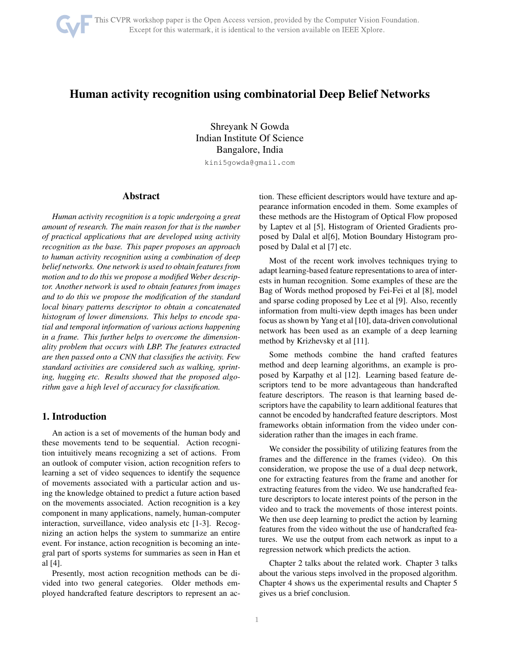

# Human activity recognition using combinatorial Deep Belief Networks

Shreyank N Gowda Indian Institute Of Science Bangalore, India

kini5gowda@gmail.com

### Abstract

*Human activity recognition is a topic undergoing a great amount of research. The main reason for that is the number of practical applications that are developed using activity recognition as the base. This paper proposes an approach to human activity recognition using a combination of deep belief networks. One network is used to obtain features from motion and to do this we propose a modified Weber descriptor. Another network is used to obtain features from images and to do this we propose the modification of the standard local binary patterns descriptor to obtain a concatenated histogram of lower dimensions. This helps to encode spatial and temporal information of various actions happening in a frame. This further helps to overcome the dimensionality problem that occurs with LBP. The features extracted are then passed onto a CNN that classifies the activity. Few standard activities are considered such as walking, sprinting, hugging etc. Results showed that the proposed algorithm gave a high level of accuracy for classification.*

### 1. Introduction

An action is a set of movements of the human body and these movements tend to be sequential. Action recognition intuitively means recognizing a set of actions. From an outlook of computer vision, action recognition refers to learning a set of video sequences to identify the sequence of movements associated with a particular action and using the knowledge obtained to predict a future action based on the movements associated. Action recognition is a key component in many applications, namely, human-computer interaction, surveillance, video analysis etc [1-3]. Recognizing an action helps the system to summarize an entire event. For instance, action recognition is becoming an integral part of sports systems for summaries as seen in Han et al [4].

Presently, most action recognition methods can be divided into two general categories. Older methods employed handcrafted feature descriptors to represent an action. These efficient descriptors would have texture and appearance information encoded in them. Some examples of these methods are the Histogram of Optical Flow proposed by Laptev et al [5], Histogram of Oriented Gradients proposed by Dalal et al[6], Motion Boundary Histogram proposed by Dalal et al [7] etc.

Most of the recent work involves techniques trying to adapt learning-based feature representations to area of interests in human recognition. Some examples of these are the Bag of Words method proposed by Fei-Fei et al [8], model and sparse coding proposed by Lee et al [9]. Also, recently information from multi-view depth images has been under focus as shown by Yang et al [10], data-driven convolutional network has been used as an example of a deep learning method by Krizhevsky et al [11].

Some methods combine the hand crafted features method and deep learning algorithms, an example is proposed by Karpathy et al [12]. Learning based feature descriptors tend to be more advantageous than handcrafted feature descriptors. The reason is that learning based descriptors have the capability to learn additional features that cannot be encoded by handcrafted feature descriptors. Most frameworks obtain information from the video under consideration rather than the images in each frame.

We consider the possibility of utilizing features from the frames and the difference in the frames (video). On this consideration, we propose the use of a dual deep network, one for extracting features from the frame and another for extracting features from the video. We use handcrafted feature descriptors to locate interest points of the person in the video and to track the movements of those interest points. We then use deep learning to predict the action by learning features from the video without the use of handcrafted features. We use the output from each network as input to a regression network which predicts the action.

Chapter 2 talks about the related work. Chapter 3 talks about the various steps involved in the proposed algorithm. Chapter 4 shows us the experimental results and Chapter 5 gives us a brief conclusion.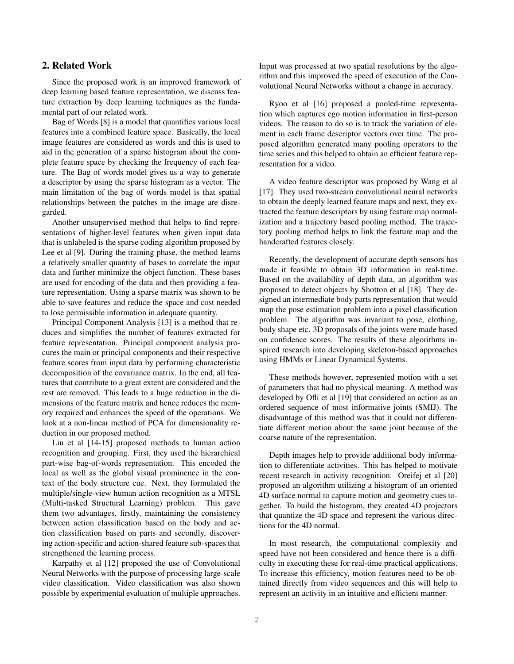## 2. Related Work

Since the proposed work is an improved framework of deep learning based feature representation, we discuss feature extraction by deep learning techniques as the fundamental part of our related work.

Bag of Words [8] is a model that quantifies various local features into a combined feature space. Basically, the local image features are considered as words and this is used to aid in the generation of a sparse histogram about the complete feature space by checking the frequency of each feature. The Bag of words model gives us a way to generate a descriptor by using the sparse histogram as a vector. The main limitation of the bag of words model is that spatial relationships between the patches in the image are disregarded.

Another unsupervised method that helps to find representations of higher-level features when given input data that is unlabeled is the sparse coding algorithm proposed by Lee et al [9]. During the training phase, the method learns a relatively smaller quantity of bases to correlate the input data and further minimize the object function. These bases are used for encoding of the data and then providing a feature representation. Using a sparse matrix was shown to be able to save features and reduce the space and cost needed to lose permissible information in adequate quantity.

Principal Component Analysis [13] is a method that reduces and simplifies the number of features extracted for feature representation. Principal component analysis procures the main or principal components and their respective feature scores from input data by performing characteristic decomposition of the covariance matrix. In the end, all features that contribute to a great extent are considered and the rest are removed. This leads to a huge reduction in the dimensions of the feature matrix and hence reduces the memory required and enhances the speed of the operations. We look at a non-linear method of PCA for dimensionality reduction in our proposed method.

Liu et al [14-15] proposed methods to human action recognition and grouping. First, they used the hierarchical part-wise bag-of-words representation. This encoded the local as well as the global visual prominence in the context of the body structure cue. Next, they formulated the multiple/single-view human action recognition as a MTSL (Multi-tasked Structural Learning) problem. This gave them two advantages, firstly, maintaining the consistency between action classification based on the body and action classification based on parts and secondly, discovering action-specific and action-shared feature sub-spaces that strengthened the learning process.

Karpathy et al [12] proposed the use of Convolutional Neural Networks with the purpose of processing large-scale video classification. Video classification was also shown possible by experimental evaluation of multiple approaches.

Input was processed at two spatial resolutions by the algorithm and this improved the speed of execution of the Convolutional Neural Networks without a change in accuracy.

Ryoo et al [16] proposed a pooled-time representation which captures ego motion information in first-person videos. The reason to do so is to track the variation of element in each frame descriptor vectors over time. The proposed algorithm generated many pooling operators to the time series and this helped to obtain an efficient feature representation for a video.

A video feature descriptor was proposed by Wang et al [17]. They used two-stream convolutional neural networks to obtain the deeply learned feature maps and next, they extracted the feature descriptors by using feature map normalization and a trajectory based pooling method. The trajectory pooling method helps to link the feature map and the handcrafted features closely.

Recently, the development of accurate depth sensors has made it feasible to obtain 3D information in real-time. Based on the availability of depth data, an algorithm was proposed to detect objects by Shotton et al [18]. They designed an intermediate body parts representation that would map the pose estimation problem into a pixel classification problem. The algorithm was invariant to pose, clothing, body shape etc. 3D proposals of the joints were made based on confidence scores. The results of these algorithms inspired research into developing skeleton-based approaches using HMMs or Linear Dynamical Systems.

These methods however, represented motion with a set of parameters that had no physical meaning. A method was developed by Ofli et al [19] that considered an action as an ordered sequence of most informative joints (SMIJ). The disadvantage of this method was that it could not differentiate different motion about the same joint because of the coarse nature of the representation.

Depth images help to provide additional body information to differentiate activities. This has helped to motivate recent research in activity recognition. Oreifej et al [20] proposed an algorithm utilizing a histogram of an oriented 4D surface normal to capture motion and geometry cues together. To build the histogram, they created 4D projectors that quantize the 4D space and represent the various directions for the 4D normal.

In most research, the computational complexity and speed have not been considered and hence there is a difficulty in executing these for real-time practical applications. To increase this efficiency, motion features need to be obtained directly from video sequences and this will help to represent an activity in an intuitive and efficient manner.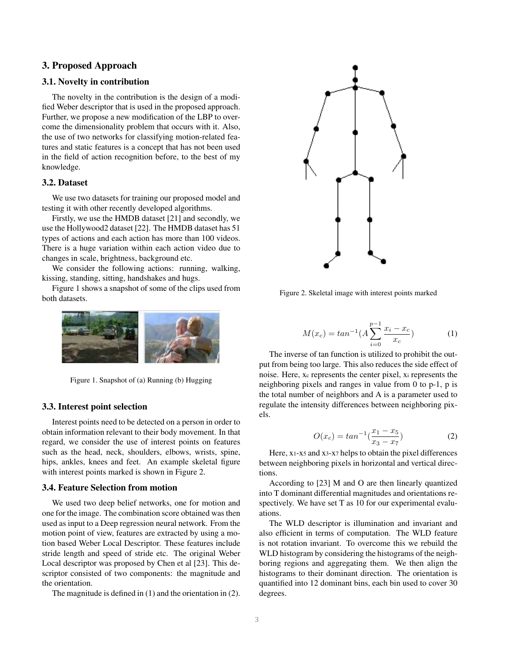#### 3. Proposed Approach

#### 3.1. Novelty in contribution

The novelty in the contribution is the design of a modified Weber descriptor that is used in the proposed approach. Further, we propose a new modification of the LBP to overcome the dimensionality problem that occurs with it. Also, the use of two networks for classifying motion-related features and static features is a concept that has not been used in the field of action recognition before, to the best of my knowledge.

#### 3.2. Dataset

We use two datasets for training our proposed model and testing it with other recently developed algorithms.

Firstly, we use the HMDB dataset [21] and secondly, we use the Hollywood2 dataset [22]. The HMDB dataset has 51 types of actions and each action has more than 100 videos. There is a huge variation within each action video due to changes in scale, brightness, background etc.

We consider the following actions: running, walking, kissing, standing, sitting, handshakes and hugs.

Figure 1 shows a snapshot of some of the clips used from both datasets.



Figure 1. Snapshot of (a) Running (b) Hugging

#### 3.3. Interest point selection

Interest points need to be detected on a person in order to obtain information relevant to their body movement. In that regard, we consider the use of interest points on features such as the head, neck, shoulders, elbows, wrists, spine, hips, ankles, knees and feet. An example skeletal figure with interest points marked is shown in Figure 2.

### 3.4. Feature Selection from motion

We used two deep belief networks, one for motion and one for the image. The combination score obtained was then used as input to a Deep regression neural network. From the motion point of view, features are extracted by using a motion based Weber Local Descriptor. These features include stride length and speed of stride etc. The original Weber Local descriptor was proposed by Chen et al [23]. This descriptor consisted of two components: the magnitude and the orientation.

The magnitude is defined in (1) and the orientation in (2).



Figure 2. Skeletal image with interest points marked

$$
M(x_c) = \tan^{-1}(A \sum_{i=0}^{p-1} \frac{x_i - x_c}{x_c})
$$
 (1)

The inverse of tan function is utilized to prohibit the output from being too large. This also reduces the side effect of noise. Here, x<sup>c</sup> represents the center pixel, x<sup>i</sup> represents the neighboring pixels and ranges in value from 0 to p-1, p is the total number of neighbors and A is a parameter used to regulate the intensity differences between neighboring pixels.

$$
O(x_c) = \tan^{-1}\left(\frac{x_1 - x_5}{x_3 - x_7}\right) \tag{2}
$$

Here, x1-x<sup>5</sup> and x3-x<sup>7</sup> helps to obtain the pixel differences between neighboring pixels in horizontal and vertical directions.

According to [23] M and O are then linearly quantized into T dominant differential magnitudes and orientations respectively. We have set T as 10 for our experimental evaluations.

The WLD descriptor is illumination and invariant and also efficient in terms of computation. The WLD feature is not rotation invariant. To overcome this we rebuild the WLD histogram by considering the histograms of the neighboring regions and aggregating them. We then align the histograms to their dominant direction. The orientation is quantified into 12 dominant bins, each bin used to cover 30 degrees.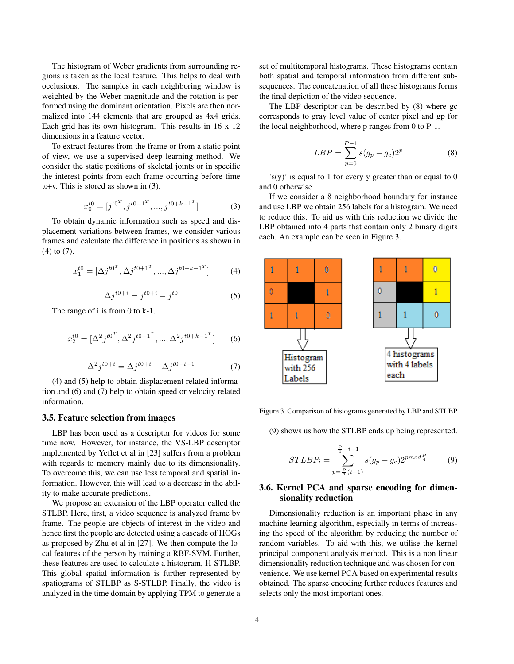The histogram of Weber gradients from surrounding regions is taken as the local feature. This helps to deal with occlusions. The samples in each neighboring window is weighted by the Weber magnitude and the rotation is performed using the dominant orientation. Pixels are then normalized into 144 elements that are grouped as 4x4 grids. Each grid has its own histogram. This results in 16 x 12 dimensions in a feature vector.

To extract features from the frame or from a static point of view, we use a supervised deep learning method. We consider the static positions of skeletal joints or in specific the interest points from each frame occurring before time t0+v. This is stored as shown in (3).

$$
x_0^{t0} = [j^{t0^T}, j^{t0+1^T}, \dots, j^{t0+k-1^T}]
$$
 (3)

To obtain dynamic information such as speed and displacement variations between frames, we consider various frames and calculate the difference in positions as shown in (4) to (7).

$$
x_1^{t0} = [\Delta j^{t0^T}, \Delta j^{t0+1^T}, ..., \Delta j^{t0+k-1^T}] \tag{4}
$$

$$
\Delta j^{t0+i} = j^{t0+i} - j^{t0} \tag{5}
$$

The range of i is from 0 to k-1.

$$
x_2^{t0} = [\Delta^2 j^{t0^T}, \Delta^2 j^{t0+1^T}, ..., \Delta^2 j^{t0+k-1^T}] \tag{6}
$$

$$
\Delta^2 j^{t0+i} = \Delta j^{t0+i} - \Delta j^{t0+i-1}
$$
 (7)

(4) and (5) help to obtain displacement related information and (6) and (7) help to obtain speed or velocity related information.

#### 3.5. Feature selection from images

LBP has been used as a descriptor for videos for some time now. However, for instance, the VS-LBP descriptor implemented by Yeffet et al in [23] suffers from a problem with regards to memory mainly due to its dimensionality. To overcome this, we can use less temporal and spatial information. However, this will lead to a decrease in the ability to make accurate predictions.

We propose an extension of the LBP operator called the STLBP. Here, first, a video sequence is analyzed frame by frame. The people are objects of interest in the video and hence first the people are detected using a cascade of HOGs as proposed by Zhu et al in [27]. We then compute the local features of the person by training a RBF-SVM. Further, these features are used to calculate a histogram, H-STLBP. This global spatial information is further represented by spatiograms of STLBP as S-STLBP. Finally, the video is analyzed in the time domain by applying TPM to generate a set of multitemporal histograms. These histograms contain both spatial and temporal information from different subsequences. The concatenation of all these histograms forms the final depiction of the video sequence.

The LBP descriptor can be described by (8) where gc corresponds to gray level value of center pixel and gp for the local neighborhood, where p ranges from 0 to P-1.

$$
LBP = \sum_{p=0}^{P-1} s(g_p - g_c) 2^p
$$
 (8)

 $\gamma$ 's(y)' is equal to 1 for every y greater than or equal to 0 and 0 otherwise.

If we consider a 8 neighborhood boundary for instance and use LBP we obtain 256 labels for a histogram. We need to reduce this. To aid us with this reduction we divide the LBP obtained into 4 parts that contain only 2 binary digits each. An example can be seen in Figure 3.



Figure 3. Comparison of histograms generated by LBP and STLBP

(9) shows us how the STLBP ends up being represented.

$$
STLBP_i = \sum_{p=\frac{P_i}{4}(i-1)}^{\frac{P_i}{4}-i-1} s(g_p - g_c) 2^{pmod{\frac{P}{4}}} \tag{9}
$$

### 3.6. Kernel PCA and sparse encoding for dimensionality reduction

Dimensionality reduction is an important phase in any machine learning algorithm, especially in terms of increasing the speed of the algorithm by reducing the number of random variables. To aid with this, we utilise the kernel principal component analysis method. This is a non linear dimensionality reduction technique and was chosen for convenience. We use kernel PCA based on experimental results obtained. The sparse encoding further reduces features and selects only the most important ones.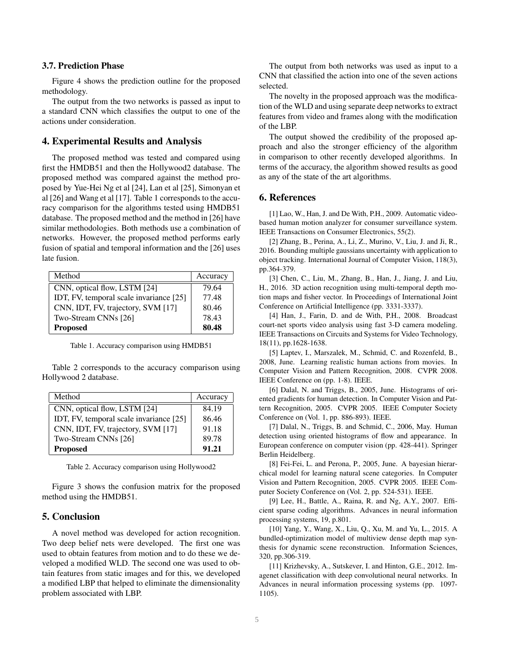#### 3.7. Prediction Phase

Figure 4 shows the prediction outline for the proposed methodology.

The output from the two networks is passed as input to a standard CNN which classifies the output to one of the actions under consideration.

#### 4. Experimental Results and Analysis

The proposed method was tested and compared using first the HMDB51 and then the Hollywood2 database. The proposed method was compared against the method proposed by Yue-Hei Ng et al [24], Lan et al [25], Simonyan et al [26] and Wang et al [17]. Table 1 corresponds to the accuracy comparison for the algorithms tested using HMDB51 database. The proposed method and the method in [26] have similar methodologies. Both methods use a combination of networks. However, the proposed method performs early fusion of spatial and temporal information and the [26] uses late fusion.

| Method                                  | Accuracy |
|-----------------------------------------|----------|
| CNN, optical flow, LSTM [24]            | 79.64    |
| IDT, FV, temporal scale invariance [25] | 77.48    |
| CNN, IDT, FV, trajectory, SVM [17]      | 80.46    |
| Two-Stream CNNs [26]                    | 78.43    |
| <b>Proposed</b>                         | 80.48    |

Table 1. Accuracy comparison using HMDB51

Table 2 corresponds to the accuracy comparison using Hollywood 2 database.

| Method                                  | Accuracy |
|-----------------------------------------|----------|
| CNN, optical flow, LSTM [24]            | 84.19    |
| IDT, FV, temporal scale invariance [25] | 86.46    |
| CNN, IDT, FV, trajectory, SVM [17]      | 91.18    |
| Two-Stream CNNs [26]                    | 89.78    |
| <b>Proposed</b>                         | 91.21    |

Table 2. Accuracy comparison using Hollywood2

Figure 3 shows the confusion matrix for the proposed method using the HMDB51.

# 5. Conclusion

A novel method was developed for action recognition. Two deep belief nets were developed. The first one was used to obtain features from motion and to do these we developed a modified WLD. The second one was used to obtain features from static images and for this, we developed a modified LBP that helped to eliminate the dimensionality problem associated with LBP.

The output from both networks was used as input to a CNN that classified the action into one of the seven actions selected.

The novelty in the proposed approach was the modification of the WLD and using separate deep networks to extract features from video and frames along with the modification of the LBP.

The output showed the credibility of the proposed approach and also the stronger efficiency of the algorithm in comparison to other recently developed algorithms. In terms of the accuracy, the algorithm showed results as good as any of the state of the art algorithms.

### 6. References

[1] Lao, W., Han, J. and De With, P.H., 2009. Automatic videobased human motion analyzer for consumer surveillance system. IEEE Transactions on Consumer Electronics, 55(2).

[2] Zhang, B., Perina, A., Li, Z., Murino, V., Liu, J. and Ji, R., 2016. Bounding multiple gaussians uncertainty with application to object tracking. International Journal of Computer Vision, 118(3), pp.364-379.

[3] Chen, C., Liu, M., Zhang, B., Han, J., Jiang, J. and Liu, H., 2016. 3D action recognition using multi-temporal depth motion maps and fisher vector. In Proceedings of International Joint Conference on Artificial Intelligence (pp. 3331-3337).

[4] Han, J., Farin, D. and de With, P.H., 2008. Broadcast court-net sports video analysis using fast 3-D camera modeling. IEEE Transactions on Circuits and Systems for Video Technology, 18(11), pp.1628-1638.

[5] Laptev, I., Marszalek, M., Schmid, C. and Rozenfeld, B., 2008, June. Learning realistic human actions from movies. In Computer Vision and Pattern Recognition, 2008. CVPR 2008. IEEE Conference on (pp. 1-8). IEEE.

[6] Dalal, N. and Triggs, B., 2005, June. Histograms of oriented gradients for human detection. In Computer Vision and Pattern Recognition, 2005. CVPR 2005. IEEE Computer Society Conference on (Vol. 1, pp. 886-893). IEEE.

[7] Dalal, N., Triggs, B. and Schmid, C., 2006, May. Human detection using oriented histograms of flow and appearance. In European conference on computer vision (pp. 428-441). Springer Berlin Heidelberg.

[8] Fei-Fei, L. and Perona, P., 2005, June. A bayesian hierarchical model for learning natural scene categories. In Computer Vision and Pattern Recognition, 2005. CVPR 2005. IEEE Computer Society Conference on (Vol. 2, pp. 524-531). IEEE.

[9] Lee, H., Battle, A., Raina, R. and Ng, A.Y., 2007. Efficient sparse coding algorithms. Advances in neural information processing systems, 19, p.801.

[10] Yang, Y., Wang, X., Liu, Q., Xu, M. and Yu, L., 2015. A bundled-optimization model of multiview dense depth map synthesis for dynamic scene reconstruction. Information Sciences, 320, pp.306-319.

[11] Krizhevsky, A., Sutskever, I. and Hinton, G.E., 2012. Imagenet classification with deep convolutional neural networks. In Advances in neural information processing systems (pp. 1097- 1105).